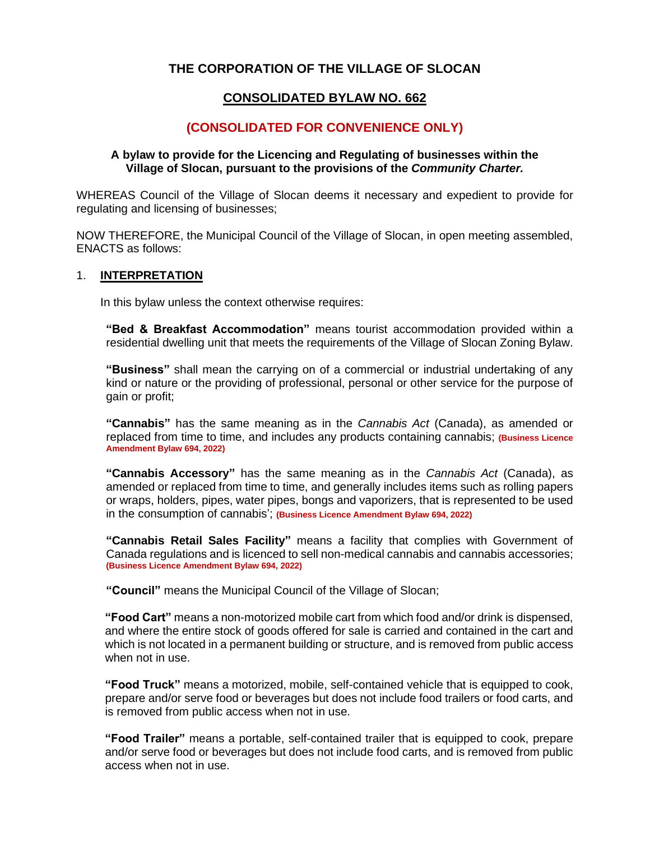# **THE CORPORATION OF THE VILLAGE OF SLOCAN**

# **CONSOLIDATED BYLAW NO. 662**

# **(CONSOLIDATED FOR CONVENIENCE ONLY)**

#### **A bylaw to provide for the Licencing and Regulating of businesses within the Village of Slocan, pursuant to the provisions of the** *Community Charter.*

WHEREAS Council of the Village of Slocan deems it necessary and expedient to provide for regulating and licensing of businesses;

NOW THEREFORE, the Municipal Council of the Village of Slocan, in open meeting assembled, ENACTS as follows:

#### 1. **INTERPRETATION**

In this bylaw unless the context otherwise requires:

**"Bed & Breakfast Accommodation"** means tourist accommodation provided within a residential dwelling unit that meets the requirements of the Village of Slocan Zoning Bylaw.

**"Business"** shall mean the carrying on of a commercial or industrial undertaking of any kind or nature or the providing of professional, personal or other service for the purpose of gain or profit;

**"Cannabis"** has the same meaning as in the *Cannabis Act* (Canada), as amended or replaced from time to time, and includes any products containing cannabis; **(Business Licence Amendment Bylaw 694, 2022)**

**"Cannabis Accessory"** has the same meaning as in the *Cannabis Act* (Canada), as amended or replaced from time to time, and generally includes items such as rolling papers or wraps, holders, pipes, water pipes, bongs and vaporizers, that is represented to be used in the consumption of cannabis'; **(Business Licence Amendment Bylaw 694, 2022)**

**"Cannabis Retail Sales Facility"** means a facility that complies with Government of Canada regulations and is licenced to sell non-medical cannabis and cannabis accessories; **(Business Licence Amendment Bylaw 694, 2022)**

**"Council"** means the Municipal Council of the Village of Slocan;

**"Food Cart"** means a non-motorized mobile cart from which food and/or drink is dispensed, and where the entire stock of goods offered for sale is carried and contained in the cart and which is not located in a permanent building or structure, and is removed from public access when not in use.

**"Food Truck"** means a motorized, mobile, self-contained vehicle that is equipped to cook, prepare and/or serve food or beverages but does not include food trailers or food carts, and is removed from public access when not in use.

**"Food Trailer"** means a portable, self-contained trailer that is equipped to cook, prepare and/or serve food or beverages but does not include food carts, and is removed from public access when not in use.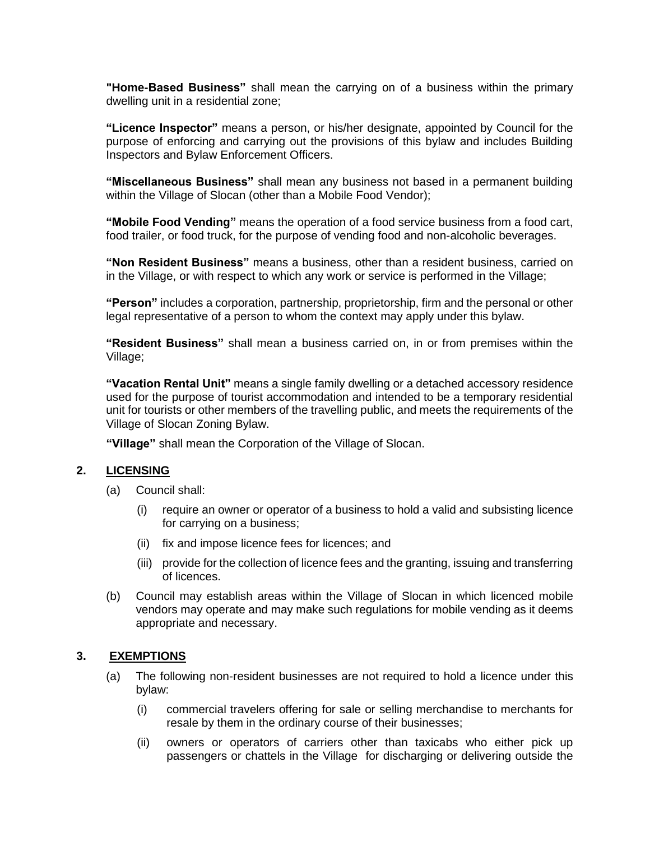**"Home-Based Business"** shall mean the carrying on of a business within the primary dwelling unit in a residential zone;

**"Licence Inspector"** means a person, or his/her designate, appointed by Council for the purpose of enforcing and carrying out the provisions of this bylaw and includes Building Inspectors and Bylaw Enforcement Officers.

**"Miscellaneous Business"** shall mean any business not based in a permanent building within the Village of Slocan (other than a Mobile Food Vendor);

**"Mobile Food Vending"** means the operation of a food service business from a food cart, food trailer, or food truck, for the purpose of vending food and non-alcoholic beverages.

**"Non Resident Business"** means a business, other than a resident business, carried on in the Village, or with respect to which any work or service is performed in the Village;

**"Person"** includes a corporation, partnership, proprietorship, firm and the personal or other legal representative of a person to whom the context may apply under this bylaw.

**"Resident Business"** shall mean a business carried on, in or from premises within the Village;

**"Vacation Rental Unit"** means a single family dwelling or a detached accessory residence used for the purpose of tourist accommodation and intended to be a temporary residential unit for tourists or other members of the travelling public, and meets the requirements of the Village of Slocan Zoning Bylaw.

**"Village"** shall mean the Corporation of the Village of Slocan.

#### **2. LICENSING**

- (a) Council shall:
	- (i) require an owner or operator of a business to hold a valid and subsisting licence for carrying on a business;
	- (ii) fix and impose licence fees for licences; and
	- (iii) provide for the collection of licence fees and the granting, issuing and transferring of licences.
- (b) Council may establish areas within the Village of Slocan in which licenced mobile vendors may operate and may make such regulations for mobile vending as it deems appropriate and necessary.

#### **3. EXEMPTIONS**

- (a) The following non-resident businesses are not required to hold a licence under this bylaw:
	- (i) commercial travelers offering for sale or selling merchandise to merchants for resale by them in the ordinary course of their businesses;
	- (ii) owners or operators of carriers other than taxicabs who either pick up passengers or chattels in the Village for discharging or delivering outside the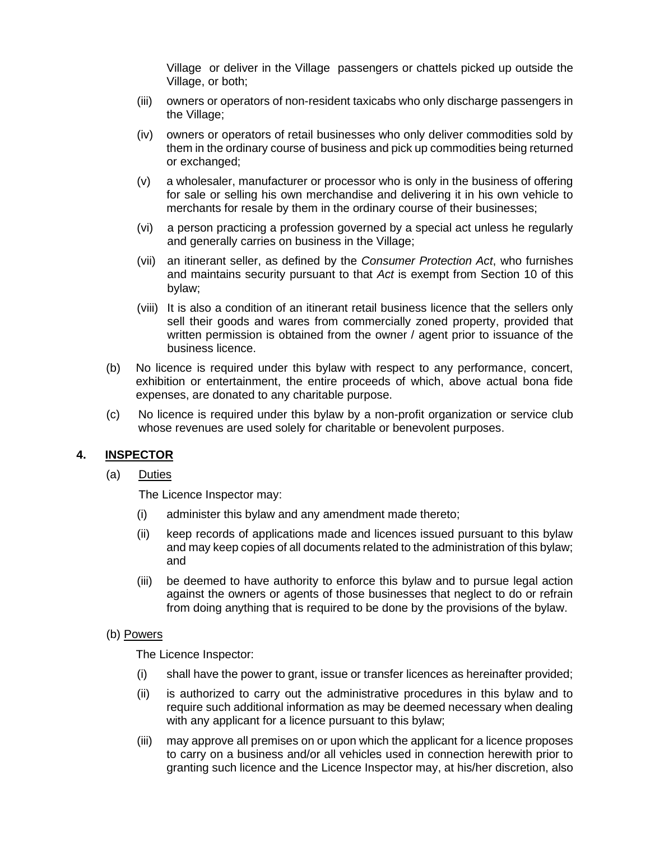Village or deliver in the Village passengers or chattels picked up outside the Village, or both;

- (iii) owners or operators of non-resident taxicabs who only discharge passengers in the Village;
- (iv) owners or operators of retail businesses who only deliver commodities sold by them in the ordinary course of business and pick up commodities being returned or exchanged;
- (v) a wholesaler, manufacturer or processor who is only in the business of offering for sale or selling his own merchandise and delivering it in his own vehicle to merchants for resale by them in the ordinary course of their businesses;
- (vi) a person practicing a profession governed by a special act unless he regularly and generally carries on business in the Village;
- (vii) an itinerant seller, as defined by the *Consumer Protection Act*, who furnishes and maintains security pursuant to that *Act* is exempt from Section 10 of this bylaw;
- (viii) It is also a condition of an itinerant retail business licence that the sellers only sell their goods and wares from commercially zoned property, provided that written permission is obtained from the owner / agent prior to issuance of the business licence.
- (b) No licence is required under this bylaw with respect to any performance, concert, exhibition or entertainment, the entire proceeds of which, above actual bona fide expenses, are donated to any charitable purpose.
- (c) No licence is required under this bylaw by a non-profit organization or service club whose revenues are used solely for charitable or benevolent purposes.

## **4. INSPECTOR**

(a) Duties

The Licence Inspector may:

- (i) administer this bylaw and any amendment made thereto;
- (ii) keep records of applications made and licences issued pursuant to this bylaw and may keep copies of all documents related to the administration of this bylaw; and
- (iii) be deemed to have authority to enforce this bylaw and to pursue legal action against the owners or agents of those businesses that neglect to do or refrain from doing anything that is required to be done by the provisions of the bylaw.

#### (b) Powers

The Licence Inspector:

- (i) shall have the power to grant, issue or transfer licences as hereinafter provided;
- (ii) is authorized to carry out the administrative procedures in this bylaw and to require such additional information as may be deemed necessary when dealing with any applicant for a licence pursuant to this bylaw;
- (iii) may approve all premises on or upon which the applicant for a licence proposes to carry on a business and/or all vehicles used in connection herewith prior to granting such licence and the Licence Inspector may, at his/her discretion, also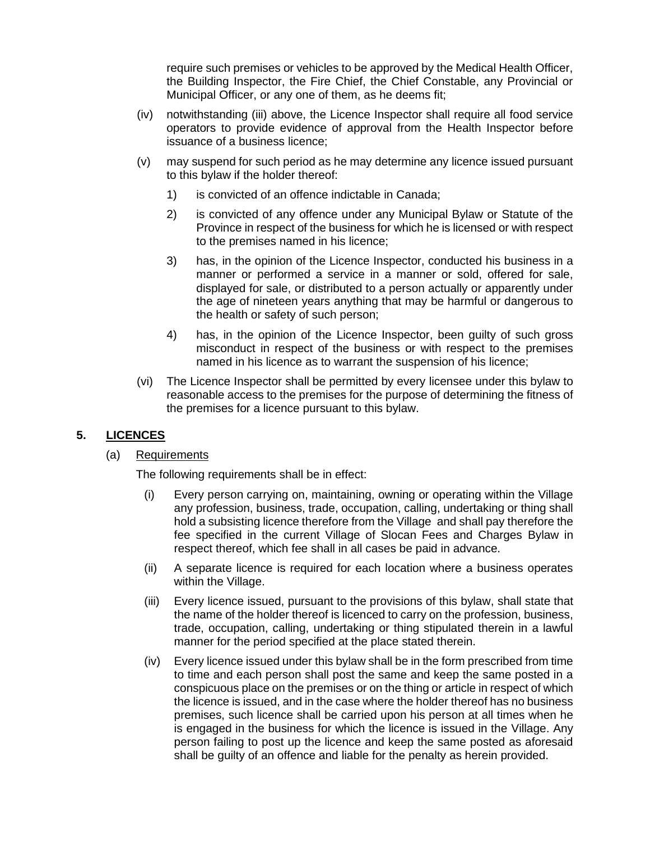require such premises or vehicles to be approved by the Medical Health Officer, the Building Inspector, the Fire Chief, the Chief Constable, any Provincial or Municipal Officer, or any one of them, as he deems fit;

- (iv) notwithstanding (iii) above, the Licence Inspector shall require all food service operators to provide evidence of approval from the Health Inspector before issuance of a business licence;
- (v) may suspend for such period as he may determine any licence issued pursuant to this bylaw if the holder thereof:
	- 1) is convicted of an offence indictable in Canada;
	- 2) is convicted of any offence under any Municipal Bylaw or Statute of the Province in respect of the business for which he is licensed or with respect to the premises named in his licence;
	- 3) has, in the opinion of the Licence Inspector, conducted his business in a manner or performed a service in a manner or sold, offered for sale, displayed for sale, or distributed to a person actually or apparently under the age of nineteen years anything that may be harmful or dangerous to the health or safety of such person;
	- 4) has, in the opinion of the Licence Inspector, been guilty of such gross misconduct in respect of the business or with respect to the premises named in his licence as to warrant the suspension of his licence;
- (vi) The Licence Inspector shall be permitted by every licensee under this bylaw to reasonable access to the premises for the purpose of determining the fitness of the premises for a licence pursuant to this bylaw.

# **5. LICENCES**

## (a) Requirements

The following requirements shall be in effect:

- (i) Every person carrying on, maintaining, owning or operating within the Village any profession, business, trade, occupation, calling, undertaking or thing shall hold a subsisting licence therefore from the Village and shall pay therefore the fee specified in the current Village of Slocan Fees and Charges Bylaw in respect thereof, which fee shall in all cases be paid in advance.
- (ii) A separate licence is required for each location where a business operates within the Village.
- (iii) Every licence issued, pursuant to the provisions of this bylaw, shall state that the name of the holder thereof is licenced to carry on the profession, business, trade, occupation, calling, undertaking or thing stipulated therein in a lawful manner for the period specified at the place stated therein.
- (iv) Every licence issued under this bylaw shall be in the form prescribed from time to time and each person shall post the same and keep the same posted in a conspicuous place on the premises or on the thing or article in respect of which the licence is issued, and in the case where the holder thereof has no business premises, such licence shall be carried upon his person at all times when he is engaged in the business for which the licence is issued in the Village. Any person failing to post up the licence and keep the same posted as aforesaid shall be guilty of an offence and liable for the penalty as herein provided.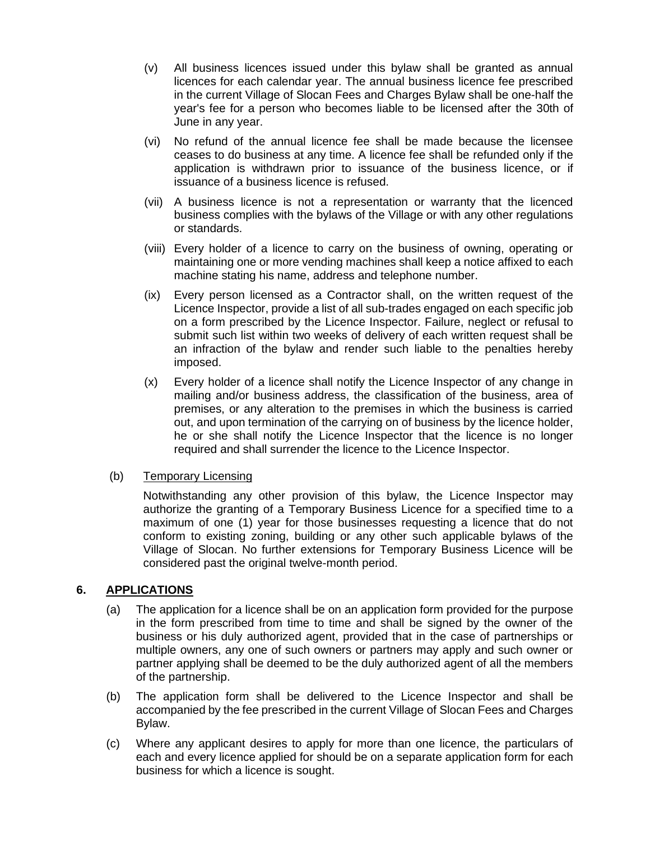- (v) All business licences issued under this bylaw shall be granted as annual licences for each calendar year. The annual business licence fee prescribed in the current Village of Slocan Fees and Charges Bylaw shall be one-half the year's fee for a person who becomes liable to be licensed after the 30th of June in any year.
- (vi) No refund of the annual licence fee shall be made because the licensee ceases to do business at any time. A licence fee shall be refunded only if the application is withdrawn prior to issuance of the business licence, or if issuance of a business licence is refused.
- (vii) A business licence is not a representation or warranty that the licenced business complies with the bylaws of the Village or with any other regulations or standards.
- (viii) Every holder of a licence to carry on the business of owning, operating or maintaining one or more vending machines shall keep a notice affixed to each machine stating his name, address and telephone number.
- (ix) Every person licensed as a Contractor shall, on the written request of the Licence Inspector, provide a list of all sub-trades engaged on each specific job on a form prescribed by the Licence Inspector. Failure, neglect or refusal to submit such list within two weeks of delivery of each written request shall be an infraction of the bylaw and render such liable to the penalties hereby imposed.
- (x) Every holder of a licence shall notify the Licence Inspector of any change in mailing and/or business address, the classification of the business, area of premises, or any alteration to the premises in which the business is carried out, and upon termination of the carrying on of business by the licence holder, he or she shall notify the Licence Inspector that the licence is no longer required and shall surrender the licence to the Licence Inspector.

## (b) Temporary Licensing

Notwithstanding any other provision of this bylaw, the Licence Inspector may authorize the granting of a Temporary Business Licence for a specified time to a maximum of one (1) year for those businesses requesting a licence that do not conform to existing zoning, building or any other such applicable bylaws of the Village of Slocan. No further extensions for Temporary Business Licence will be considered past the original twelve-month period.

## **6. APPLICATIONS**

- (a) The application for a licence shall be on an application form provided for the purpose in the form prescribed from time to time and shall be signed by the owner of the business or his duly authorized agent, provided that in the case of partnerships or multiple owners, any one of such owners or partners may apply and such owner or partner applying shall be deemed to be the duly authorized agent of all the members of the partnership.
- (b) The application form shall be delivered to the Licence Inspector and shall be accompanied by the fee prescribed in the current Village of Slocan Fees and Charges Bylaw.
- (c) Where any applicant desires to apply for more than one licence, the particulars of each and every licence applied for should be on a separate application form for each business for which a licence is sought.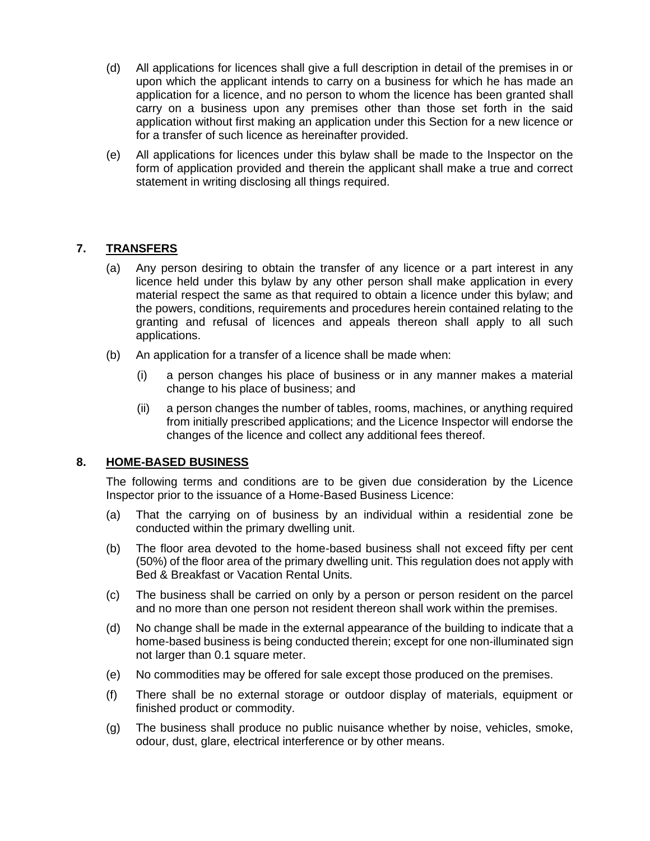- (d) All applications for licences shall give a full description in detail of the premises in or upon which the applicant intends to carry on a business for which he has made an application for a licence, and no person to whom the licence has been granted shall carry on a business upon any premises other than those set forth in the said application without first making an application under this Section for a new licence or for a transfer of such licence as hereinafter provided.
- (e) All applications for licences under this bylaw shall be made to the Inspector on the form of application provided and therein the applicant shall make a true and correct statement in writing disclosing all things required.

## **7. TRANSFERS**

- (a) Any person desiring to obtain the transfer of any licence or a part interest in any licence held under this bylaw by any other person shall make application in every material respect the same as that required to obtain a licence under this bylaw; and the powers, conditions, requirements and procedures herein contained relating to the granting and refusal of licences and appeals thereon shall apply to all such applications.
- (b) An application for a transfer of a licence shall be made when:
	- (i) a person changes his place of business or in any manner makes a material change to his place of business; and
	- (ii) a person changes the number of tables, rooms, machines, or anything required from initially prescribed applications; and the Licence Inspector will endorse the changes of the licence and collect any additional fees thereof.

## **8. HOME-BASED BUSINESS**

The following terms and conditions are to be given due consideration by the Licence Inspector prior to the issuance of a Home-Based Business Licence:

- (a) That the carrying on of business by an individual within a residential zone be conducted within the primary dwelling unit.
- (b) The floor area devoted to the home-based business shall not exceed fifty per cent (50%) of the floor area of the primary dwelling unit. This regulation does not apply with Bed & Breakfast or Vacation Rental Units.
- (c) The business shall be carried on only by a person or person resident on the parcel and no more than one person not resident thereon shall work within the premises.
- (d) No change shall be made in the external appearance of the building to indicate that a home-based business is being conducted therein; except for one non-illuminated sign not larger than 0.1 square meter.
- (e) No commodities may be offered for sale except those produced on the premises.
- (f) There shall be no external storage or outdoor display of materials, equipment or finished product or commodity.
- (g) The business shall produce no public nuisance whether by noise, vehicles, smoke, odour, dust, glare, electrical interference or by other means.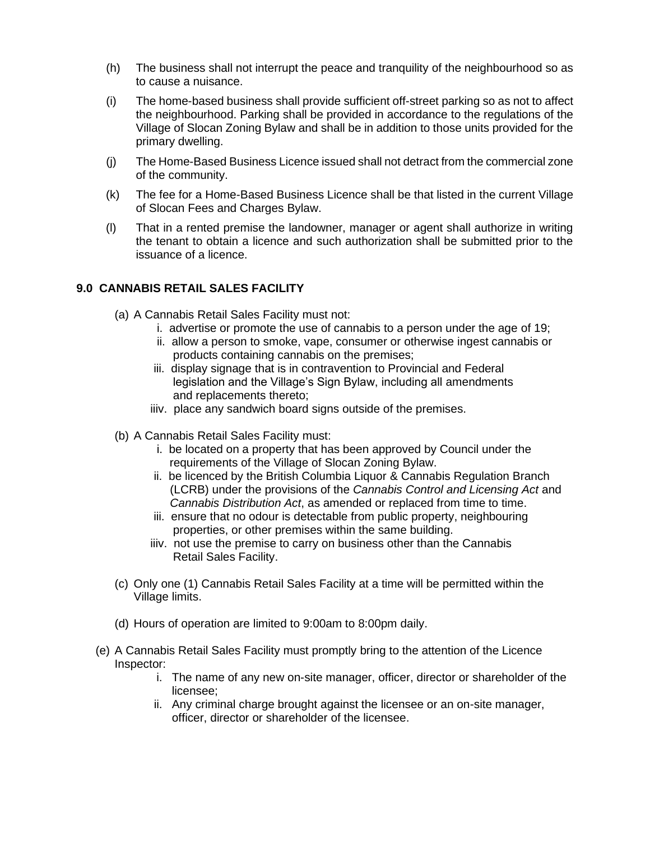- (h) The business shall not interrupt the peace and tranquility of the neighbourhood so as to cause a nuisance.
- (i) The home-based business shall provide sufficient off-street parking so as not to affect the neighbourhood. Parking shall be provided in accordance to the regulations of the Village of Slocan Zoning Bylaw and shall be in addition to those units provided for the primary dwelling.
- (j) The Home-Based Business Licence issued shall not detract from the commercial zone of the community.
- (k) The fee for a Home-Based Business Licence shall be that listed in the current Village of Slocan Fees and Charges Bylaw.
- (l) That in a rented premise the landowner, manager or agent shall authorize in writing the tenant to obtain a licence and such authorization shall be submitted prior to the issuance of a licence.

## **9.0 CANNABIS RETAIL SALES FACILITY**

- (a) A Cannabis Retail Sales Facility must not:
	- i. advertise or promote the use of cannabis to a person under the age of 19;
	- ii. allow a person to smoke, vape, consumer or otherwise ingest cannabis or products containing cannabis on the premises;
	- iii. display signage that is in contravention to Provincial and Federal legislation and the Village's Sign Bylaw, including all amendments and replacements thereto;
	- iiiv. place any sandwich board signs outside of the premises.
- (b) A Cannabis Retail Sales Facility must:
	- i. be located on a property that has been approved by Council under the requirements of the Village of Slocan Zoning Bylaw.
	- ii. be licenced by the British Columbia Liquor & Cannabis Regulation Branch (LCRB) under the provisions of the *Cannabis Control and Licensing Act* and *Cannabis Distribution Act*, as amended or replaced from time to time.
	- iii. ensure that no odour is detectable from public property, neighbouring properties, or other premises within the same building.
	- iiiv. not use the premise to carry on business other than the Cannabis Retail Sales Facility.
- (c) Only one (1) Cannabis Retail Sales Facility at a time will be permitted within the Village limits.
- (d) Hours of operation are limited to 9:00am to 8:00pm daily.
- (e) A Cannabis Retail Sales Facility must promptly bring to the attention of the Licence Inspector:
	- i. The name of any new on-site manager, officer, director or shareholder of the licensee;
	- ii. Any criminal charge brought against the licensee or an on-site manager, officer, director or shareholder of the licensee.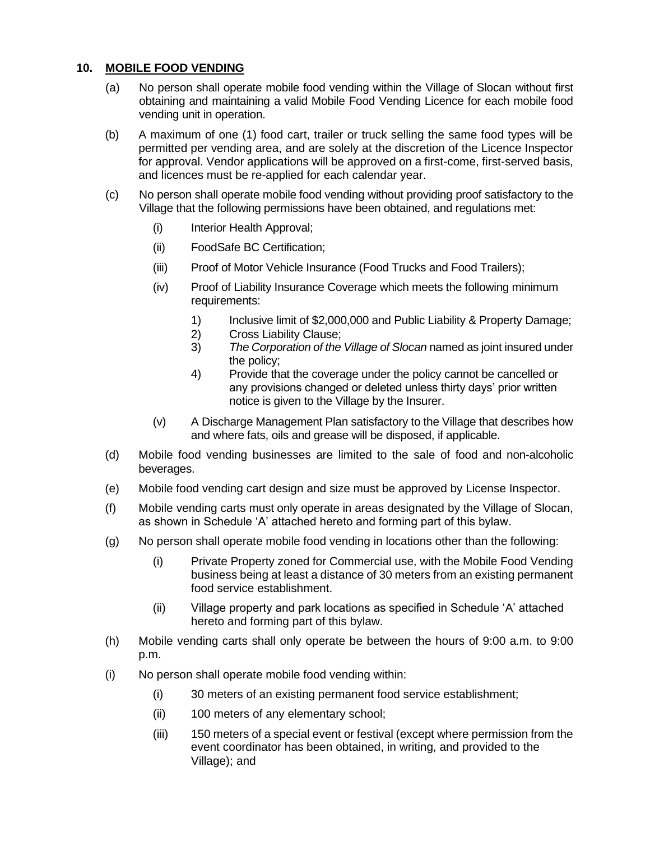## **10. MOBILE FOOD VENDING**

- (a) No person shall operate mobile food vending within the Village of Slocan without first obtaining and maintaining a valid Mobile Food Vending Licence for each mobile food vending unit in operation.
- (b) A maximum of one (1) food cart, trailer or truck selling the same food types will be permitted per vending area, and are solely at the discretion of the Licence Inspector for approval. Vendor applications will be approved on a first-come, first-served basis, and licences must be re-applied for each calendar year.
- (c) No person shall operate mobile food vending without providing proof satisfactory to the Village that the following permissions have been obtained, and regulations met:
	- (i) Interior Health Approval;
	- (ii) FoodSafe BC Certification;
	- (iii) Proof of Motor Vehicle Insurance (Food Trucks and Food Trailers);
	- (iv) Proof of Liability Insurance Coverage which meets the following minimum requirements:
		- 1) Inclusive limit of \$2,000,000 and Public Liability & Property Damage;
		- 2) Cross Liability Clause;
		- 3) *The Corporation of the Village of Slocan* named as joint insured under the policy;
		- 4) Provide that the coverage under the policy cannot be cancelled or any provisions changed or deleted unless thirty days' prior written notice is given to the Village by the Insurer.
	- (v) A Discharge Management Plan satisfactory to the Village that describes how and where fats, oils and grease will be disposed, if applicable.
- (d) Mobile food vending businesses are limited to the sale of food and non-alcoholic beverages.
- (e) Mobile food vending cart design and size must be approved by License Inspector.
- (f) Mobile vending carts must only operate in areas designated by the Village of Slocan, as shown in Schedule 'A' attached hereto and forming part of this bylaw.
- (g) No person shall operate mobile food vending in locations other than the following:
	- (i) Private Property zoned for Commercial use, with the Mobile Food Vending business being at least a distance of 30 meters from an existing permanent food service establishment.
	- (ii) Village property and park locations as specified in Schedule 'A' attached hereto and forming part of this bylaw.
- (h) Mobile vending carts shall only operate be between the hours of 9:00 a.m. to 9:00 p.m.
- (i) No person shall operate mobile food vending within:
	- (i) 30 meters of an existing permanent food service establishment;
	- (ii) 100 meters of any elementary school;
	- (iii) 150 meters of a special event or festival (except where permission from the event coordinator has been obtained, in writing, and provided to the Village); and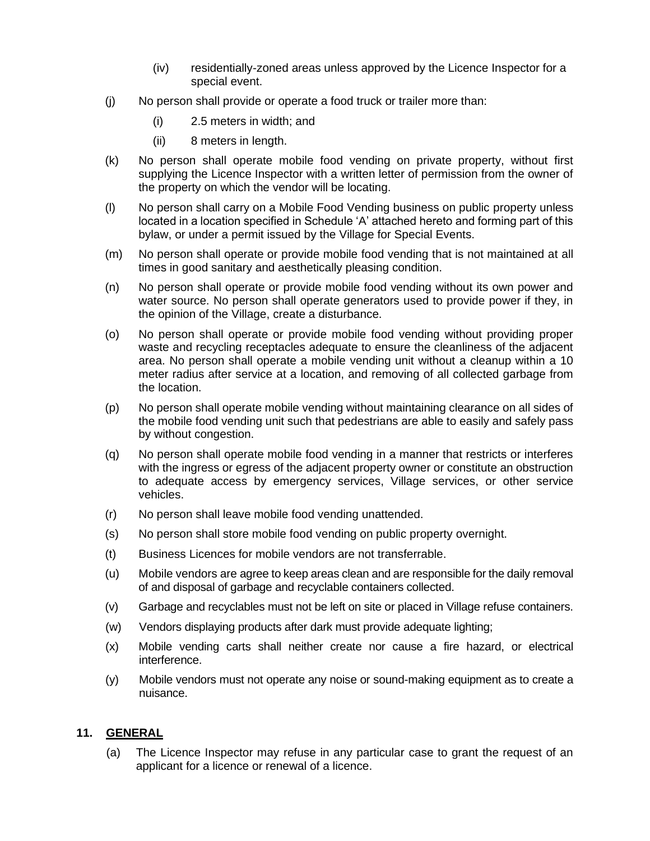- (iv) residentially-zoned areas unless approved by the Licence Inspector for a special event.
- (j) No person shall provide or operate a food truck or trailer more than:
	- (i) 2.5 meters in width; and
	- (ii) 8 meters in length.
- (k) No person shall operate mobile food vending on private property, without first supplying the Licence Inspector with a written letter of permission from the owner of the property on which the vendor will be locating.
- (l) No person shall carry on a Mobile Food Vending business on public property unless located in a location specified in Schedule 'A' attached hereto and forming part of this bylaw, or under a permit issued by the Village for Special Events.
- (m) No person shall operate or provide mobile food vending that is not maintained at all times in good sanitary and aesthetically pleasing condition.
- (n) No person shall operate or provide mobile food vending without its own power and water source. No person shall operate generators used to provide power if they, in the opinion of the Village, create a disturbance.
- (o) No person shall operate or provide mobile food vending without providing proper waste and recycling receptacles adequate to ensure the cleanliness of the adjacent area. No person shall operate a mobile vending unit without a cleanup within a 10 meter radius after service at a location, and removing of all collected garbage from the location.
- (p) No person shall operate mobile vending without maintaining clearance on all sides of the mobile food vending unit such that pedestrians are able to easily and safely pass by without congestion.
- (q) No person shall operate mobile food vending in a manner that restricts or interferes with the ingress or egress of the adjacent property owner or constitute an obstruction to adequate access by emergency services, Village services, or other service vehicles.
- (r) No person shall leave mobile food vending unattended.
- (s) No person shall store mobile food vending on public property overnight.
- (t) Business Licences for mobile vendors are not transferrable.
- (u) Mobile vendors are agree to keep areas clean and are responsible for the daily removal of and disposal of garbage and recyclable containers collected.
- (v) Garbage and recyclables must not be left on site or placed in Village refuse containers.
- (w) Vendors displaying products after dark must provide adequate lighting;
- (x) Mobile vending carts shall neither create nor cause a fire hazard, or electrical interference.
- (y) Mobile vendors must not operate any noise or sound-making equipment as to create a nuisance.

## **11. GENERAL**

(a) The Licence Inspector may refuse in any particular case to grant the request of an applicant for a licence or renewal of a licence.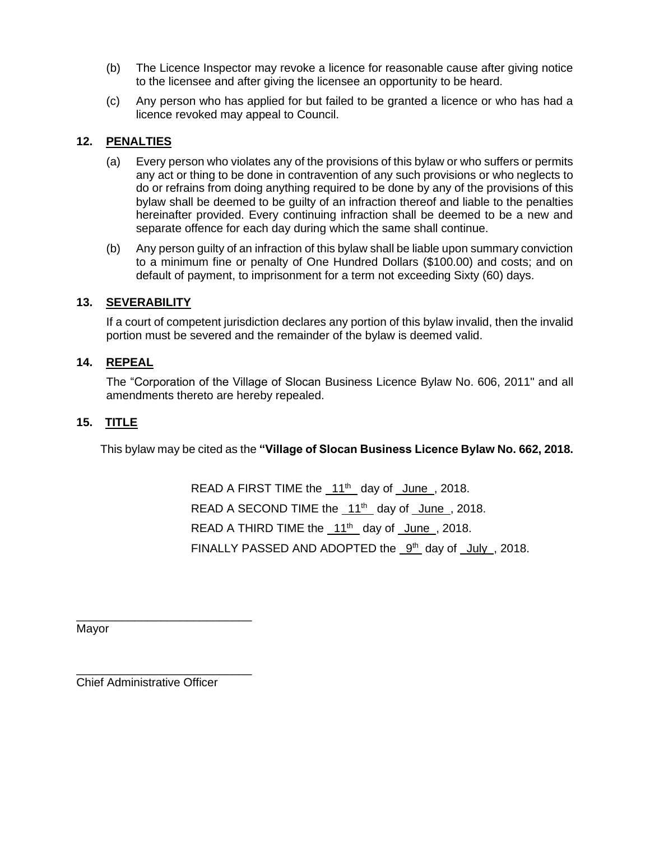- (b) The Licence Inspector may revoke a licence for reasonable cause after giving notice to the licensee and after giving the licensee an opportunity to be heard.
- (c) Any person who has applied for but failed to be granted a licence or who has had a licence revoked may appeal to Council.

## **12. PENALTIES**

- (a) Every person who violates any of the provisions of this bylaw or who suffers or permits any act or thing to be done in contravention of any such provisions or who neglects to do or refrains from doing anything required to be done by any of the provisions of this bylaw shall be deemed to be guilty of an infraction thereof and liable to the penalties hereinafter provided. Every continuing infraction shall be deemed to be a new and separate offence for each day during which the same shall continue.
- (b) Any person guilty of an infraction of this bylaw shall be liable upon summary conviction to a minimum fine or penalty of One Hundred Dollars (\$100.00) and costs; and on default of payment, to imprisonment for a term not exceeding Sixty (60) days.

## **13. SEVERABILITY**

If a court of competent jurisdiction declares any portion of this bylaw invalid, then the invalid portion must be severed and the remainder of the bylaw is deemed valid.

#### **14. REPEAL**

The "Corporation of the Village of Slocan Business Licence Bylaw No. 606, 2011" and all amendments thereto are hereby repealed.

## **15. TITLE**

This bylaw may be cited as the **"Village of Slocan Business Licence Bylaw No. 662, 2018.**

READ A FIRST TIME the  $11<sup>th</sup>$  day of June, 2018. READ A SECOND TIME the  $11<sup>th</sup>$  day of June, 2018. READ A THIRD TIME the  $11<sup>th</sup>$  day of June, 2018. FINALLY PASSED AND ADOPTED the 9<sup>th</sup> day of July, 2018.

Mayor

Chief Administrative Officer

\_\_\_\_\_\_\_\_\_\_\_\_\_\_\_\_\_\_\_\_\_\_\_\_\_\_\_

\_\_\_\_\_\_\_\_\_\_\_\_\_\_\_\_\_\_\_\_\_\_\_\_\_\_\_